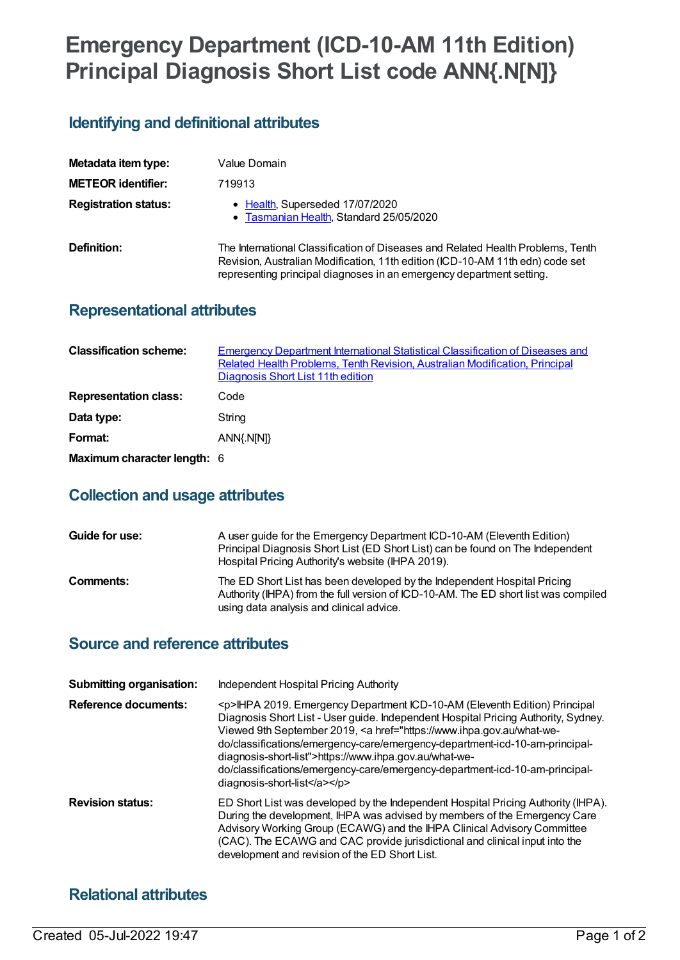# **Emergency Department (ICD-10-AM 11th Edition) Principal Diagnosis Short List code ANN{.N[N]}**

# **Identifying and definitional attributes**

| Metadata item type:         | Value Domain                                                                                                                                                                                                                             |
|-----------------------------|------------------------------------------------------------------------------------------------------------------------------------------------------------------------------------------------------------------------------------------|
| <b>METEOR identifier:</b>   | 719913                                                                                                                                                                                                                                   |
| <b>Registration status:</b> | • Health, Superseded 17/07/2020<br>• Tasmanian Health, Standard 25/05/2020                                                                                                                                                               |
| Definition:                 | The International Classification of Diseases and Related Health Problems, Tenth<br>Revision, Australian Modification, 11th edition (ICD-10-AM 11th edn) code set<br>representing principal diagnoses in an emergency department setting. |

## **Representational attributes**

| <b>Classification scheme:</b> | <b>Emergency Department International Statistical Classification of Diseases and</b><br>Related Health Problems, Tenth Revision, Australian Modification, Principal<br>Diagnosis Short List 11th edition |
|-------------------------------|----------------------------------------------------------------------------------------------------------------------------------------------------------------------------------------------------------|
| <b>Representation class:</b>  | Code                                                                                                                                                                                                     |
| Data type:                    | String                                                                                                                                                                                                   |
| Format:                       | ANN{.N[N]}                                                                                                                                                                                               |
| Maximum character length: 6   |                                                                                                                                                                                                          |

# **Collection and usage attributes**

| Guide for use: | A user guide for the Emergency Department ICD-10-AM (Eleventh Edition)<br>Principal Diagnosis Short List (ED Short List) can be found on The Independent<br>Hospital Pricing Authority's website (IHPA 2019). |
|----------------|---------------------------------------------------------------------------------------------------------------------------------------------------------------------------------------------------------------|
| Comments:      | The ED Short List has been developed by the Independent Hospital Pricing<br>Authority (IHPA) from the full version of ICD-10-AM. The ED short list was compiled<br>using data analysis and clinical advice.   |

### **Source and reference attributes**

| <b>Submitting organisation:</b><br><b>Reference documents:</b> | Independent Hospital Pricing Authority<br><p>IHPA 2019. Emergency Department ICD-10-AM (Eleventh Edition) Principal<br/>Diagnosis Short List - User guide. Independent Hospital Pricing Authority, Sydney.<br/>Viewed 9th September 2019, &lt; a href="https://www.ihpa.gov.au/what-we-<br/>do/classifications/emergency-care/emergency-department-icd-10-am-principal-<br/>diagnosis-short-list"&gt;https://www.ihpa.gov.au/what-we-<br/>do/classifications/emergency-care/emergency-department-icd-10-am-principal-<br/>diagnosis-short-list</p> |
|----------------------------------------------------------------|----------------------------------------------------------------------------------------------------------------------------------------------------------------------------------------------------------------------------------------------------------------------------------------------------------------------------------------------------------------------------------------------------------------------------------------------------------------------------------------------------------------------------------------------------|
| <b>Revision status:</b>                                        | ED Short List was developed by the Independent Hospital Pricing Authority (IHPA).<br>During the development, IHPA was advised by members of the Emergency Care<br>Advisory Working Group (ECAWG) and the IHPA Clinical Advisory Committee<br>(CAC). The ECAWG and CAC provide jurisdictional and clinical input into the<br>development and revision of the ED Short List.                                                                                                                                                                         |

## **Relational attributes**